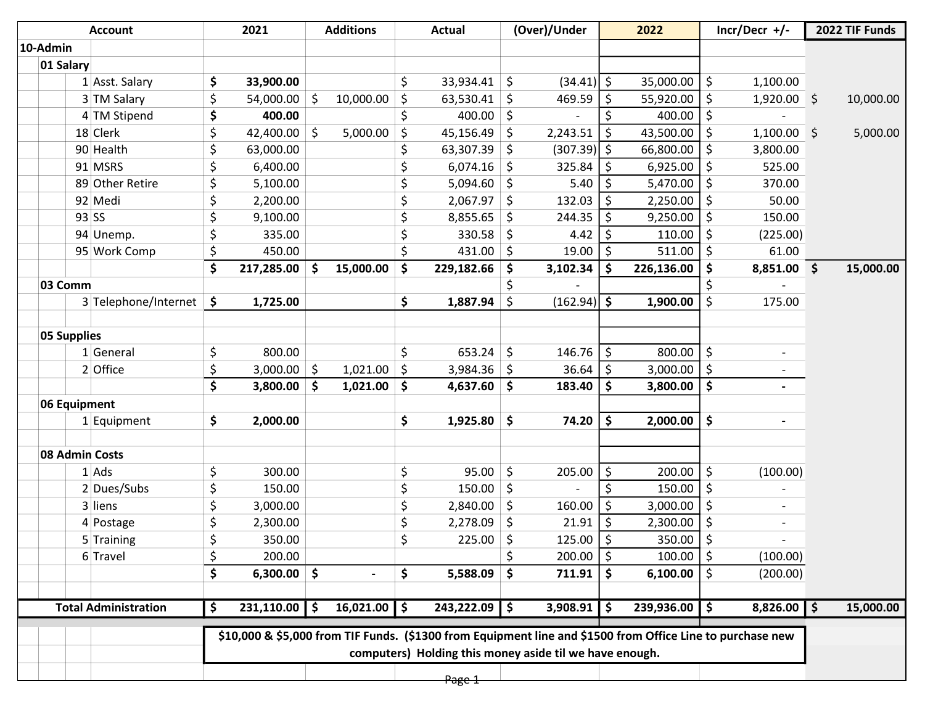|                    | <b>Account</b>              | 2021                    |     | <b>Additions</b> |         | <b>Actual</b>                                                                                              |               | (Over)/Under    |                    | 2022              |                    | $Incr/Decr$ +/- | 2022 TIF Funds  |
|--------------------|-----------------------------|-------------------------|-----|------------------|---------|------------------------------------------------------------------------------------------------------------|---------------|-----------------|--------------------|-------------------|--------------------|-----------------|-----------------|
| 10-Admin           |                             |                         |     |                  |         |                                                                                                            |               |                 |                    |                   |                    |                 |                 |
| 01 Salary          |                             |                         |     |                  |         |                                                                                                            |               |                 |                    |                   |                    |                 |                 |
|                    | 1 Asst. Salary              | \$<br>33,900.00         |     |                  | $\zeta$ | 33,934.41                                                                                                  | \$            | $(34.41)$ \$    |                    | 35,000.00         | \$                 | 1,100.00        |                 |
|                    | 3 TM Salary                 | \$<br>54,000.00         | \$  | 10,000.00        | \$      | 63,530.41                                                                                                  | \$            | 469.59          | \$                 | 55,920.00         | \$                 | $1,920.00$ \$   | 10,000.00       |
|                    | 4 TM Stipend                | \$<br>400.00            |     |                  | \$      | 400.00                                                                                                     | \$            |                 | \$                 | 400.00            | $\zeta$            |                 |                 |
|                    | 18 Clerk                    | \$<br>42,400.00         | \$  | 5,000.00         | \$      | 45,156.49                                                                                                  | \$            | 2,243.51        | \$                 | 43,500.00         | \$                 | 1,100.00        | \$<br>5,000.00  |
|                    | 90 Health                   | \$<br>63,000.00         |     |                  | \$      | 63,307.39                                                                                                  | \$            | $(307.39)$ \$   |                    | 66,800.00         | \$                 | 3,800.00        |                 |
|                    | 91 MSRS                     | \$<br>6,400.00          |     |                  | \$      | 6,074.16                                                                                                   | \$            | 325.84          | \$                 | 6,925.00          | \$                 | 525.00          |                 |
|                    | 89 Other Retire             | \$<br>5,100.00          |     |                  | \$      | 5,094.60                                                                                                   | \$            | 5.40            | \$                 | 5,470.00          | \$                 | 370.00          |                 |
|                    | 92 Medi                     | \$<br>2,200.00          |     |                  | \$      | 2,067.97                                                                                                   | $\zeta$       | 132.03          | \$                 | 2,250.00          | \$                 | 50.00           |                 |
|                    | $93$ SS                     | \$<br>9,100.00          |     |                  | \$      | 8,855.65                                                                                                   | \$            | 244.35          | \$                 | 9,250.00          | \$                 | 150.00          |                 |
|                    | 94 Unemp.                   | \$<br>335.00            |     |                  | \$      | 330.58                                                                                                     | \$            | 4.42            | \$                 | 110.00            | \$                 | (225.00)        |                 |
|                    | 95 Work Comp                | \$<br>450.00            |     |                  | \$      | 431.00                                                                                                     | -\$           | 19.00           | \$                 | 511.00            | \$                 | 61.00           |                 |
|                    |                             | \$<br>217,285.00        | \$. | 15,000.00        | \$      | 229,182.66                                                                                                 | \$            | 3,102.34        | \$                 | 226,136.00        | \$                 | 8,851.00        | \$<br>15,000.00 |
| 03 Comm            |                             |                         |     |                  |         |                                                                                                            | \$            |                 |                    |                   |                    |                 |                 |
|                    | 3 Telephone/Internet        | \$<br>1,725.00          |     |                  | \$      | 1,887.94                                                                                                   | \$            | $(162.94)$ \$   |                    | 1,900.00          | \$                 | 175.00          |                 |
|                    |                             |                         |     |                  |         |                                                                                                            |               |                 |                    |                   |                    |                 |                 |
| <b>05 Supplies</b> |                             |                         |     |                  |         |                                                                                                            |               |                 |                    |                   |                    |                 |                 |
|                    | $1$ General                 | \$<br>800.00            |     |                  | \$      | 653.24                                                                                                     | \$            | 146.76          | \$                 | 800.00            | \$                 |                 |                 |
|                    | 2 Office                    | \$<br>3,000.00          | \$  | 1,021.00         | \$      | 3,984.36                                                                                                   | \$            | 36.64           | \$                 | 3,000.00          | \$                 |                 |                 |
|                    |                             | \$<br>3,800.00          | \$  | 1,021.00         | \$      | 4,637.60                                                                                                   | \$            | 183.40          | \$                 | 3,800.00          | \$                 | $\blacksquare$  |                 |
| 06 Equipment       |                             |                         |     |                  |         |                                                                                                            |               |                 |                    |                   |                    |                 |                 |
|                    | $1$ Equipment               | \$<br>2,000.00          |     |                  | \$      | 1,925.80                                                                                                   | \$            | 74.20           | \$                 | 2,000.00          | \$                 |                 |                 |
|                    |                             |                         |     |                  |         |                                                                                                            |               |                 |                    |                   |                    |                 |                 |
|                    | 08 Admin Costs              |                         |     |                  |         |                                                                                                            |               |                 |                    |                   |                    |                 |                 |
|                    | 1 Ads                       | \$<br>300.00            |     |                  | \$      | 95.00                                                                                                      | \$            | 205.00          | \$                 | 200.00            | \$                 | (100.00)        |                 |
|                    | 2 Dues/Subs                 | \$<br>150.00            |     |                  | \$      | 150.00                                                                                                     | $\zeta$       |                 | \$                 | 150.00            | \$                 |                 |                 |
|                    | 3 liens                     | \$<br>3,000.00          |     |                  | \$      | 2,840.00                                                                                                   | \$            | 160.00          | \$                 | 3,000.00          | \$                 |                 |                 |
|                    | 4 Postage                   | \$<br>2,300.00          |     |                  | \$      | 2,278.09                                                                                                   | \$            | 21.91           | \$                 | 2,300.00          | \$                 |                 |                 |
|                    | 5 Training                  | \$<br>350.00            |     |                  | Ś       | 225.00                                                                                                     | \$            | 125.00          | $\mathsf{\hat{S}}$ | 350.00            | $\mathsf{\dot{S}}$ |                 |                 |
|                    | 6 Travel                    | \$<br>200.00            |     |                  |         |                                                                                                            | \$            | $200.00$   \$   |                    | 100.00            | $\zeta$            | (100.00)        |                 |
|                    |                             | \$<br>$6,300.00$ \$     |     |                  | \$      | 5,588.09                                                                                                   | $\mathsf{\$}$ | 711.91          | \$                 | 6,100.00          | \$                 | (200.00)        |                 |
|                    |                             |                         |     |                  |         |                                                                                                            |               |                 |                    |                   |                    |                 |                 |
|                    | <b>Total Administration</b> | \$<br>$231,110.00$   \$ |     | $16,021.00$ \$   |         | $243,222.09$ \$                                                                                            |               | $3,908.91$   \$ |                    | $239,936.00$   \$ |                    | $8,826.00$ \$   | 15,000.00       |
|                    |                             |                         |     |                  |         | \$10,000 & \$5,000 from TIF Funds. (\$1300 from Equipment line and \$1500 from Office Line to purchase new |               |                 |                    |                   |                    |                 |                 |
|                    |                             |                         |     |                  |         | computers) Holding this money aside til we have enough.                                                    |               |                 |                    |                   |                    |                 |                 |
|                    |                             |                         |     |                  |         | Page 1                                                                                                     |               |                 |                    |                   |                    |                 |                 |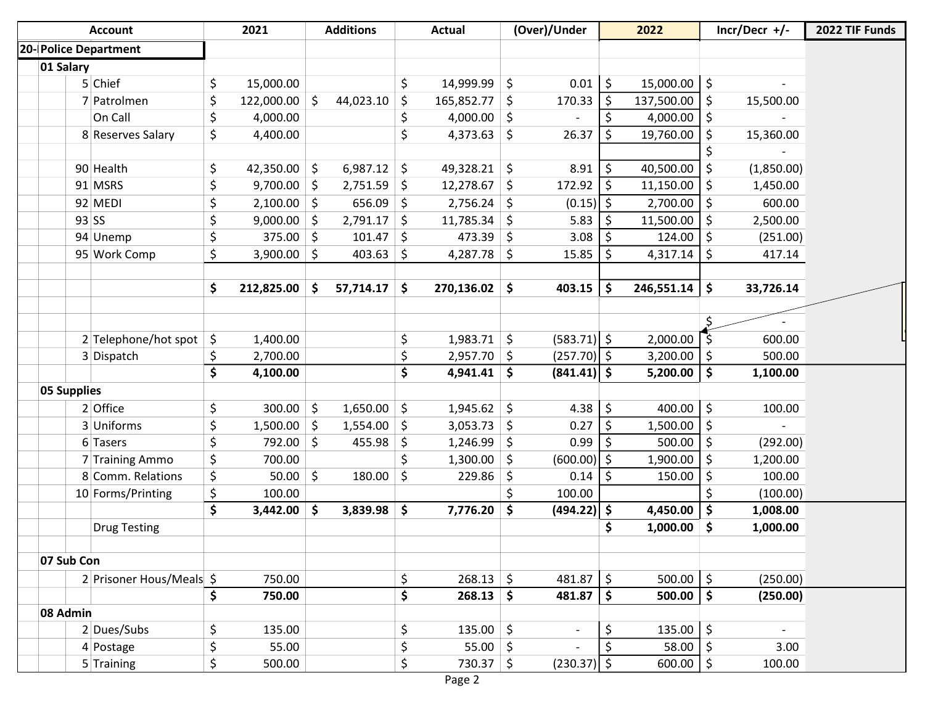| <b>Account</b>                       |                                 | 2021                | <b>Additions</b>     |    | <b>Actual</b>   |   | (Over)/Under  |                    | 2022        |                     | $Incr/Decr$ +/- | 2022 TIF Funds |
|--------------------------------------|---------------------------------|---------------------|----------------------|----|-----------------|---|---------------|--------------------|-------------|---------------------|-----------------|----------------|
| 20-Police Department                 |                                 |                     |                      |    |                 |   |               |                    |             |                     |                 |                |
| 01 Salary                            |                                 |                     |                      |    |                 |   |               |                    |             |                     |                 |                |
| 5 Chief                              | \$                              | 15,000.00           |                      | S. | $14,999.99$ \$  |   | 0.01          | \$                 | 15,000.00   | $\zeta$             |                 |                |
| 7 Patrolmen                          | \$                              | 122,000.00          | \$<br>44,023.10      | Ŝ. | $165,852.77$ \$ |   | 170.33        | $\zeta$            | 137,500.00  | \$                  | 15,500.00       |                |
| On Call                              | \$                              | 4,000.00            |                      | \$ | 4,000.00 \$     |   |               | \$                 | 4,000.00    | \$                  |                 |                |
| 8 Reserves Salary                    | \$                              | 4,400.00            |                      | \$ | $4,373.63$ \$   |   | 26.37         | \$                 | 19,760.00   | $\zeta$             | 15,360.00       |                |
|                                      |                                 |                     |                      |    |                 |   |               |                    |             | \$                  |                 |                |
| 90 Health                            | \$                              | 42,350.00 \$        | $6,987.12$ \$        |    | 49,328.21 \$    |   | 8.91          | \$                 | 40,500.00   | \$                  | (1,850.00)      |                |
| 91 MSRS                              | \$                              | 9,700.00            | \$<br>$2,751.59$ \$  |    | $12,278.67$ \$  |   | 172.92        | \$                 | 11,150.00   | \$                  | 1,450.00        |                |
| 92 MEDI                              | \$                              | $2,100.00$ \$       | 656.09 \$            |    | $2,756.24$ \$   |   | $(0.15)$ \$   |                    | 2,700.00    | \$                  | 600.00          |                |
| $93$ SS                              | \$                              | 9,000.00            | \$<br>$2,791.17$ \$  |    | $11,785.34$ \$  |   | 5.83          | -\$                | 11,500.00   | \$                  | 2,500.00        |                |
| 94 Unemp                             | \$                              | 375.00              | \$<br>$101.47$ \$    |    | $473.39$ \$     |   | 3.08          | \$                 | 124.00      | \$                  | (251.00)        |                |
| 95 Work Comp                         | \$                              | 3,900.00 $\vert$ \$ | $403.63$ \$          |    | $4,287.78$ \$   |   | 15.85         | \$                 | 4,317.14    | \$                  | 417.14          |                |
|                                      | \$                              | 212,825.00          | \$<br>$57,714.17$ \$ |    | $270,136.02$ \$ |   | 403.15        | \$                 | 246,551.14  | \$                  | 33,726.14       |                |
|                                      |                                 |                     |                      |    |                 |   |               |                    |             |                     |                 |                |
|                                      |                                 |                     |                      |    |                 |   |               |                    |             |                     |                 |                |
| $2$ Telephone/hot spot $\frac{1}{5}$ |                                 | 1,400.00            |                      | \$ | $1,983.71$ \$   |   | $(583.71)$ \$ |                    | 2,000.00    | - \$                | 600.00          |                |
| 3 Dispatch                           | \$                              | 2,700.00            |                      | \$ | $2,957.70$ \$   |   | $(257.70)$ \$ |                    | 3,200.00    | \$                  | 500.00          |                |
|                                      | \$                              | 4,100.00            |                      | \$ | $4,941.41$ \$   |   | $(841.41)$ \$ |                    | 5,200.00    | \$                  | 1,100.00        |                |
| <b>05 Supplies</b>                   |                                 |                     |                      |    |                 |   |               |                    |             |                     |                 |                |
| 2 Office                             | \$                              | $300.00$ \$         | $1,650.00$ \$        |    | $1,945.62$ \$   |   | $4.38$ \$     |                    | 400.00      | $\zeta$             | 100.00          |                |
| 3 Uniforms                           | \$                              | 1,500.00            | \$<br>$1,554.00$ \$  |    | $3,053.73$ \$   |   | 0.27          | $\ddot{\phi}$      | 1,500.00    | $\zeta$             |                 |                |
| 6 Tasers                             | \$                              | 792.00 \$           | $455.98$ \$          |    | $1,246.99$ \$   |   | 0.99          | S.                 | 500.00      | \$                  | (292.00)        |                |
| 7 Training Ammo                      | \$                              | 700.00              |                      | \$ | $1,300.00$ \$   |   | $(600.00)$ \$ |                    | 1,900.00    | \$                  | 1,200.00        |                |
| 8 Comm. Relations                    | \$                              | 50.00               | \$<br>180.00         | \$ | $229.86$ \$     |   | 0.14          | \$                 | 150.00      | \$                  | 100.00          |                |
| 10 Forms/Printing                    | \$                              | 100.00              |                      |    |                 | Ś | 100.00        |                    |             | \$                  | (100.00)        |                |
|                                      | $\overline{\boldsymbol{\zeta}}$ | $3,442.00$ \$       | $3,839.98$ \$        |    | $7,776.20$ \$   |   | $(494.22)$ \$ |                    | 4,450.00    | $\ddot{\bm{\zeta}}$ | 1,008.00        |                |
| <b>Drug Testing</b>                  |                                 |                     |                      |    |                 |   |               | \$                 | 1,000.00    | \$                  | 1,000.00        |                |
| 07 Sub Con                           |                                 |                     |                      |    |                 |   |               |                    |             |                     |                 |                |
| 2 Prisoner Hous/Meals \$             |                                 | 750.00              |                      | \$ | $268.13$ \$     |   | 481.87        | $\ddot{\varsigma}$ | $500.00$ \$ |                     | (250.00)        |                |
|                                      | \$                              | 750.00              |                      | \$ | $268.13$ \$     |   | 481.87        | \$                 | 500.00      | $\ddot{\bm{\zeta}}$ | (250.00)        |                |
| 08 Admin                             |                                 |                     |                      |    |                 |   |               |                    |             |                     |                 |                |
| 2 Dues/Subs                          | \$                              | 135.00              |                      | \$ | 135.00 \$       |   |               | \$                 | 135.00      | \$                  | $\sim$          |                |
|                                      |                                 |                     |                      |    |                 |   |               |                    |             |                     |                 |                |
| 4 Postage                            | \$                              | 55.00               |                      | \$ | 55.00 \$        |   |               | \$                 | 58.00       | $\ddot{\varsigma}$  | 3.00            |                |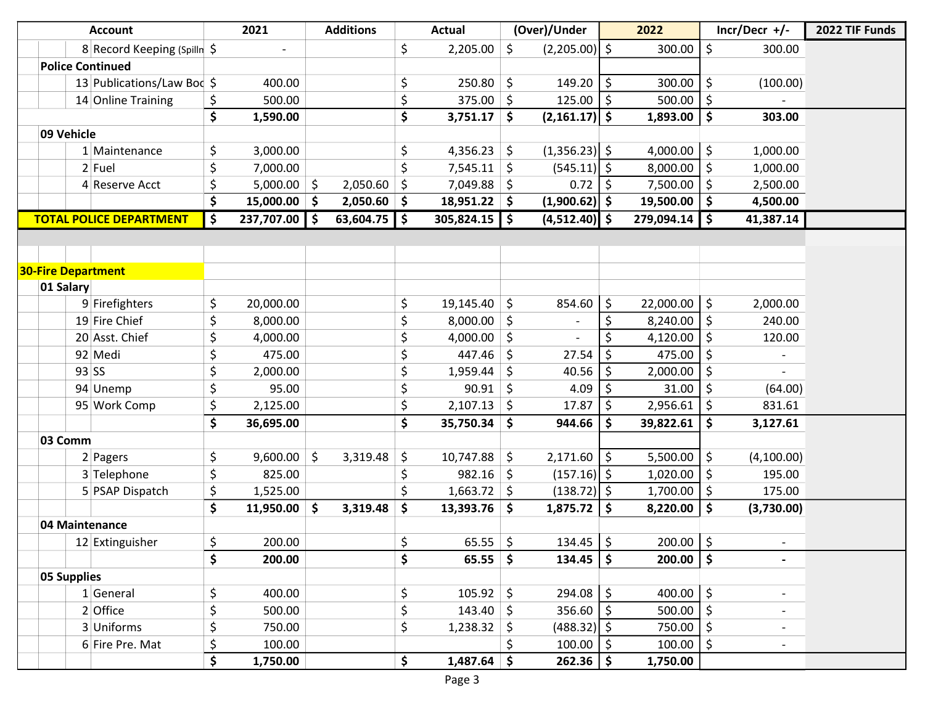| <b>Account</b>                 | 2021             |      | <b>Additions</b> |                     | <b>Actual</b>       |            | (Over)/Under    |    | 2022        |                     | $Incr/Decr$ +/- | 2022 TIF Funds |
|--------------------------------|------------------|------|------------------|---------------------|---------------------|------------|-----------------|----|-------------|---------------------|-----------------|----------------|
| 8 Record Keeping (Spilln \$    |                  |      |                  | \$                  | 2,205.00            | \$         | $(2,205.00)$ \$ |    | 300.00      | \$                  | 300.00          |                |
| <b>Police Continued</b>        |                  |      |                  |                     |                     |            |                 |    |             |                     |                 |                |
| 13 Publications/Law Bod \$     | 400.00           |      |                  | \$                  | 250.80              | \$         | 149.20          | \$ | 300.00      | \$                  | (100.00)        |                |
| 14 Online Training             | \$<br>500.00     |      |                  | \$                  | $375.00$ \$         |            | 125.00          | \$ | 500.00      | \$                  |                 |                |
|                                | \$<br>1,590.00   |      |                  | \$                  | 3,751.17            | \$         | $(2,161.17)$ \$ |    | 1,893.00    | \$                  | 303.00          |                |
| 09 Vehicle                     |                  |      |                  |                     |                     |            |                 |    |             |                     |                 |                |
| 1 Maintenance                  | \$<br>3,000.00   |      |                  | \$                  | 4,356.23            | \$         | $(1,356.23)$ \$ |    | 4,000.00    | \$                  | 1,000.00        |                |
| 2 Fuel                         | \$<br>7,000.00   |      |                  | \$                  | 7,545.11            | \$         | $(545.11)$   \$ |    | 8,000.00    | \$                  | 1,000.00        |                |
| 4 Reserve Acct                 | \$<br>5,000.00   | \$   | 2,050.60         | \$                  | 7,049.88            | \$         | 0.72            | \$ | 7,500.00    | \$                  | 2,500.00        |                |
|                                | \$<br>15,000.00  | -\$  | $2,050.60$ \$    |                     | $18,951.22$ \$      |            | $(1,900.62)$ \$ |    | 19,500.00   | \$                  | 4,500.00        |                |
| <b>TOTAL POLICE DEPARTMENT</b> | \$<br>237,707.00 | \$ ا | $63,604.75$ \$   |                     | 305,824.15          | $\vert$ \$ | $(4,512.40)$ \$ |    | 279,094.14  | \$                  | 41,387.14       |                |
|                                |                  |      |                  |                     |                     |            |                 |    |             |                     |                 |                |
|                                |                  |      |                  |                     |                     |            |                 |    |             |                     |                 |                |
| <b>30-Fire Department</b>      |                  |      |                  |                     |                     |            |                 |    |             |                     |                 |                |
| 01 Salary                      |                  |      |                  |                     |                     |            |                 |    |             |                     |                 |                |
| 9 Firefighters                 | \$<br>20,000.00  |      |                  | \$                  | 19,145.40           | \$         | 854.60          | \$ | 22,000.00   | \$                  | 2,000.00        |                |
| 19 Fire Chief                  | \$<br>8,000.00   |      |                  | \$                  | 8,000.00            | \$         |                 | \$ | 8,240.00    | \$                  | 240.00          |                |
| 20 Asst. Chief                 | \$<br>4,000.00   |      |                  | \$                  | 4,000.00            | \$         |                 | Ś  | 4,120.00    | \$                  | 120.00          |                |
| 92 Medi                        | \$<br>475.00     |      |                  | \$                  | 447.46              | \$         | 27.54           | \$ | 475.00      | \$                  |                 |                |
| $93$ SS                        | \$<br>2,000.00   |      |                  | \$                  | 1,959.44            | \$         | 40.56           | \$ | 2,000.00    | \$                  |                 |                |
| 94 Unemp                       | \$<br>95.00      |      |                  | \$                  | 90.91               | \$         | 4.09            | \$ | 31.00       | \$                  | (64.00)         |                |
| 95 Work Comp                   | \$<br>2,125.00   |      |                  | \$                  | 2,107.13            | \$         | 17.87           | \$ | 2,956.61    | \$                  | 831.61          |                |
|                                | \$<br>36,695.00  |      |                  | \$                  | 35,750.34           | \$         | 944.66          | \$ | 39,822.61   | \$                  | 3,127.61        |                |
| 03 Comm                        |                  |      |                  |                     |                     |            |                 |    |             |                     |                 |                |
| 2 Pagers                       | \$<br>9,600.00   | \$   | 3,319.48         | \$                  | 10,747.88           | \$         | $2,171.60$ \$   |    | 5,500.00    | \$                  | (4,100.00)      |                |
| 3 Telephone                    | \$<br>825.00     |      |                  | \$                  | 982.16              | \$         | $(157.16)$ \$   |    | 1,020.00    | \$                  | 195.00          |                |
| 5 PSAP Dispatch                | \$<br>1,525.00   |      |                  | \$                  | $1,663.72$ \$       |            | $(138.72)$ \$   |    | 1,700.00    | \$                  | 175.00          |                |
|                                | \$<br>11,950.00  | \$   | 3,319.48         | $\ddot{\bm{\zeta}}$ | 13,393.76           | \$         | 1,875.72        | \$ | 8,220.00    | \$                  | (3,730.00)      |                |
| 04 Maintenance                 |                  |      |                  |                     |                     |            |                 |    |             |                     |                 |                |
| 12 Extinguisher                | \$<br>200.00     |      |                  | \$                  | $65.55$ \$          |            | $134.45$ \$     |    | $200.00$ \$ |                     |                 |                |
|                                | \$<br>200.00     |      |                  | \$                  | $65.55$ \$          |            | $134.45$   \$   |    | 200.00      | $\ddot{\bm{\zeta}}$ |                 |                |
| 05 Supplies                    |                  |      |                  |                     |                     |            |                 |    |             |                     |                 |                |
| 1 General                      | \$<br>400.00     |      |                  | \$                  | $105.92$ \$         |            | $294.08$   \$   |    | 400.00      | \$                  |                 |                |
| 2 Office                       | \$<br>500.00     |      |                  | \$                  | $143.40 \mid \zeta$ |            | $356.60$   \$   |    | 500.00      | \$                  |                 |                |
| 3 Uniforms                     | \$<br>750.00     |      |                  | \$                  | $1,238.32$ \$       |            | $(488.32)$ \$   |    | 750.00      | \$                  |                 |                |
| 6 Fire Pre. Mat                | \$<br>100.00     |      |                  |                     |                     | \$         | 100.00          | \$ | 100.00      | \$                  |                 |                |
|                                | \$<br>1,750.00   |      |                  | \$                  | $1,487.64$ \$       |            | $262.36$   \$   |    | 1,750.00    |                     |                 |                |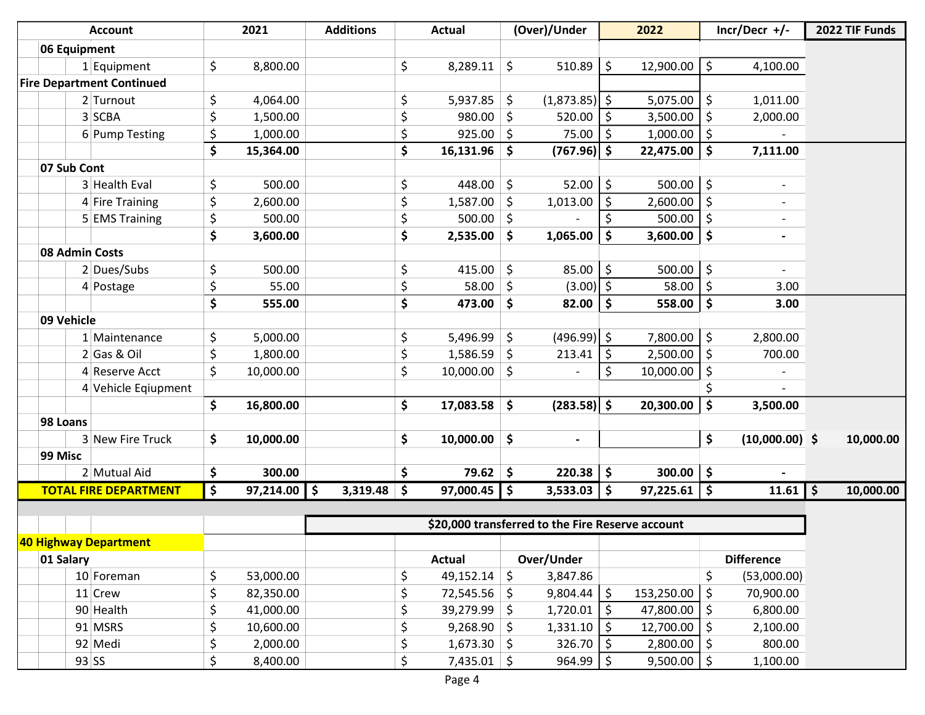|              | <b>Account</b>                   | 2021            | <b>Additions</b>    | <b>Actual</b>        |            | (Over)/Under                                     |                     | 2022             | $Incr/Decr$ +/-        |         | 2022 TIF Funds |
|--------------|----------------------------------|-----------------|---------------------|----------------------|------------|--------------------------------------------------|---------------------|------------------|------------------------|---------|----------------|
| 06 Equipment |                                  |                 |                     |                      |            |                                                  |                     |                  |                        |         |                |
|              | $1$ Equipment                    | \$<br>8,800.00  |                     | \$<br>8,289.11       | \$         | $510.89$   \$                                    |                     | 12,900.00        | \$<br>4,100.00         |         |                |
|              | <b>Fire Department Continued</b> |                 |                     |                      |            |                                                  |                     |                  |                        |         |                |
|              | 2 Turnout                        | \$<br>4,064.00  |                     | \$<br>5,937.85       | \$         | $(1,873.85)$ \$                                  |                     | 5,075.00         | \$<br>1,011.00         |         |                |
|              | 3 SCBA                           | \$<br>1,500.00  |                     | \$<br>980.00         | \$         | 520.00                                           | -\$                 | 3,500.00         | \$<br>2,000.00         |         |                |
|              | 6 Pump Testing                   | \$<br>1,000.00  |                     | \$<br>925.00         | S.         | 75.00                                            | $\zeta$             | 1,000.00         | \$                     |         |                |
|              |                                  | \$<br>15,364.00 |                     | \$<br>16,131.96      | \$         | $(767.96)$ \$                                    |                     | 22,475.00        | \$<br>7,111.00         |         |                |
| 07 Sub Cont  |                                  |                 |                     |                      |            |                                                  |                     |                  |                        |         |                |
|              | 3 Health Eval                    | \$<br>500.00    |                     | \$<br>448.00         | \$         | $52.00$ \$                                       |                     | 500.00           | \$                     |         |                |
|              | 4 Fire Training                  | \$<br>2,600.00  |                     | \$<br>1,587.00       | \$         | 1,013.00                                         | \$                  | 2,600.00         | \$                     |         |                |
|              | 5 EMS Training                   | \$<br>500.00    |                     | \$<br>500.00         | \$         |                                                  | Ś.                  | 500.00           | \$                     |         |                |
|              |                                  | \$<br>3,600.00  |                     | \$<br>2,535.00       | \$         | 1,065.00                                         | \$                  | 3,600.00         | \$                     |         |                |
|              | 08 Admin Costs                   |                 |                     |                      |            |                                                  |                     |                  |                        |         |                |
|              | 2 Dues/Subs                      | \$<br>500.00    |                     | \$<br>415.00         | $\zeta$    | $85.00$ \$                                       |                     | 500.00           | \$                     |         |                |
|              | 4 Postage                        | \$<br>55.00     |                     | \$<br>58.00          | \$         | $(3.00)$ \$                                      |                     | 58.00            | \$<br>3.00             |         |                |
|              |                                  | \$<br>555.00    |                     | \$<br>473.00         | \$         | 82.00                                            | $\ddot{\bm{\zeta}}$ | 558.00           | \$<br>3.00             |         |                |
| 09 Vehicle   |                                  |                 |                     |                      |            |                                                  |                     |                  |                        |         |                |
|              | 1 Maintenance                    | \$<br>5,000.00  |                     | \$<br>5,496.99       | \$         | $(496.99)$ \$                                    |                     | 7,800.00         | \$<br>2,800.00         |         |                |
|              | $2$ Gas & Oil                    | \$<br>1,800.00  |                     | \$<br>1,586.59       | \$         | 213.41                                           | \$                  | 2,500.00         | \$<br>700.00           |         |                |
|              | 4 Reserve Acct                   | \$<br>10,000.00 |                     | \$<br>10,000.00      | \$         |                                                  | $\zeta$             | 10,000.00        | \$                     |         |                |
|              | 4 Vehicle Eqiupment              |                 |                     |                      |            |                                                  |                     |                  | \$                     |         |                |
|              |                                  | \$<br>16,800.00 |                     | \$<br>17,083.58      | \$         | $(283.58)$ \$                                    |                     | 20,300.00        | \$<br>3,500.00         |         |                |
| 98 Loans     |                                  |                 |                     |                      |            |                                                  |                     |                  |                        |         |                |
|              | 3 New Fire Truck                 | \$<br>10,000.00 |                     | \$<br>10,000.00      | \$         | $\overline{\phantom{0}}$                         |                     |                  | \$<br>$(10,000.00)$ \$ |         | 10,000.00      |
| 99 Misc      |                                  |                 |                     |                      |            |                                                  |                     |                  |                        |         |                |
|              | 2 Mutual Aid                     | \$<br>300.00    |                     | \$<br>79.62          | -\$        | 220.38                                           | \$                  | 300.00           | \$                     |         |                |
|              | <b>TOTAL FIRE DEPARTMENT</b>     | \$<br>97,214.00 | \$<br>$3,319.48$ \$ | 97,000.45            | $\vert$ \$ | 3,533.03                                         | \$                  | $97,225.61$   \$ | 11.61                  | $\zeta$ | 10,000.00      |
|              |                                  |                 |                     |                      |            |                                                  |                     |                  |                        |         |                |
|              |                                  |                 |                     |                      |            | \$20,000 transferred to the Fire Reserve account |                     |                  |                        |         |                |
|              | 40 Highway Department            |                 |                     |                      |            |                                                  |                     |                  |                        |         |                |
| 01 Salary    |                                  |                 |                     | <b>Actual</b>        |            | Over/Under                                       |                     |                  | <b>Difference</b>      |         |                |
|              | 10 Foreman                       | \$<br>53,000.00 |                     | \$<br>49,152.14      | $\zeta$    | 3,847.86                                         |                     |                  | \$<br>(53,000.00)      |         |                |
|              | 11 Crew                          | \$<br>82,350.00 |                     | \$<br>$72,545.56$ \$ |            | 9,804.44                                         | $\zeta$             | 153,250.00       | \$<br>70,900.00        |         |                |
|              | 90 Health                        | \$<br>41,000.00 |                     | \$<br>$39,279.99$ \$ |            | 1,720.01                                         | $\ddot{\phi}$       | 47,800.00        | \$<br>6,800.00         |         |                |
|              | 91 MSRS                          | \$<br>10,600.00 |                     | \$<br>$9,268.90$ \$  |            | 1,331.10                                         | \$                  | 12,700.00        | \$<br>2,100.00         |         |                |
|              | 92 Medi                          | \$<br>2,000.00  |                     | \$<br>$1,673.30$ \$  |            | 326.70                                           | $\zeta$             | 2,800.00         | \$<br>800.00           |         |                |
|              | $93$ SS                          | \$<br>8,400.00  |                     | \$<br>$7,435.01$ \$  |            | 964.99                                           | $\zeta$             | $9,500.00$   \$  | 1,100.00               |         |                |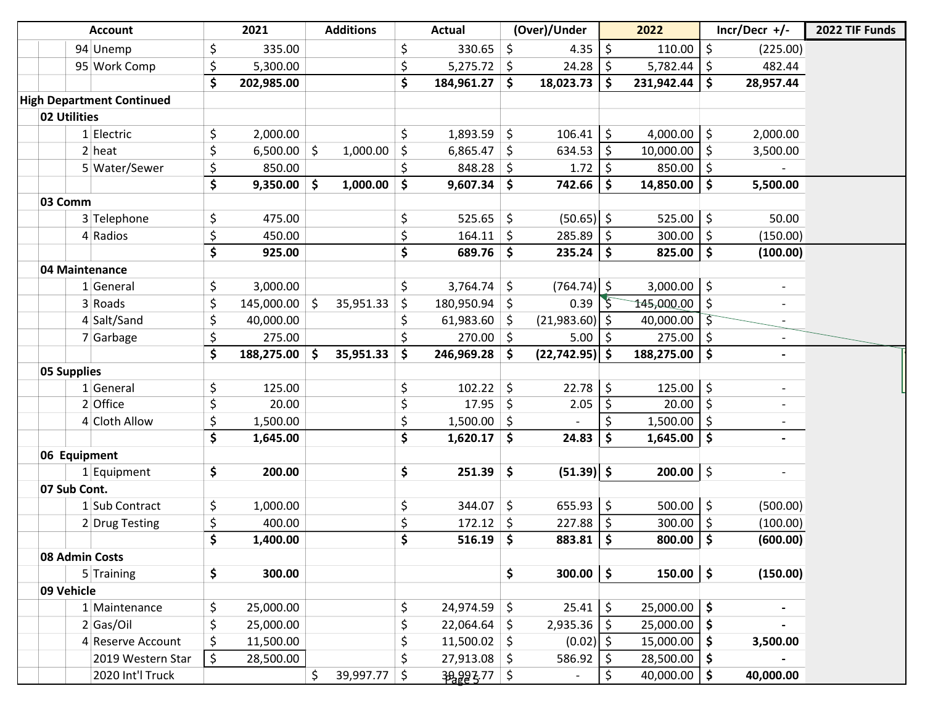|              | <b>Account</b>                   |         | 2021       |                     | <b>Additions</b> | <b>Actual</b>        |                     | (Over)/Under      |                     | 2022       |                     | $Incr/Decr$ +/-              | 2022 TIF Funds |
|--------------|----------------------------------|---------|------------|---------------------|------------------|----------------------|---------------------|-------------------|---------------------|------------|---------------------|------------------------------|----------------|
|              | 94 Unemp                         | \$      | 335.00     |                     |                  | \$<br>330.65         | \$                  | 4.35              | \$                  | 110.00     | $\zeta$             | (225.00)                     |                |
|              | 95 Work Comp                     | \$      | 5,300.00   |                     |                  | \$<br>$5,275.72$ \$  |                     | 24.28             | $\zeta$             | 5,782.44   | \$                  | 482.44                       |                |
|              |                                  | \$      | 202,985.00 |                     |                  | \$<br>184,961.27     | $\vert$ \$          | 18,023.73         | $\mathsf{S}$        | 231,942.44 | $\mathsf{\$}$       | 28,957.44                    |                |
|              | <b>High Department Continued</b> |         |            |                     |                  |                      |                     |                   |                     |            |                     |                              |                |
| 02 Utilities |                                  |         |            |                     |                  |                      |                     |                   |                     |            |                     |                              |                |
|              | 1 Electric                       | \$      | 2,000.00   |                     |                  | \$<br>1,893.59       | \$                  | 106.41            | \$                  | 4,000.00   | \$                  | 2,000.00                     |                |
|              | $2$ heat                         | \$      | 6,500.00   | \$                  | 1,000.00         | \$<br>6,865.47       | \$                  | 634.53            | $\ddot{\varsigma}$  | 10,000.00  | \$                  | 3,500.00                     |                |
|              | 5 Water/Sewer                    | \$      | 850.00     |                     |                  | \$<br>$848.28$ \$    |                     | 1.72              | $\zeta$             | 850.00     | \$                  |                              |                |
|              |                                  | \$      | 9,350.00   | $\ddot{\bm{\zeta}}$ | 1,000.00         | \$<br>$9,607.34$ \$  |                     | 742.66            | \$                  | 14,850.00  | $\ddot{\bm{\zeta}}$ | 5,500.00                     |                |
| 03 Comm      |                                  |         |            |                     |                  |                      |                     |                   |                     |            |                     |                              |                |
|              | 3 Telephone                      | \$      | 475.00     |                     |                  | \$<br>$525.65$ \$    |                     | $(50.65)$ \$      |                     | 525.00     | $\ddot{\varsigma}$  | 50.00                        |                |
|              | 4 Radios                         | \$      | 450.00     |                     |                  | \$<br>164.11         | -\$                 | 285.89            | $\ddot{\phi}$       | 300.00     | \$                  | (150.00)                     |                |
|              |                                  | \$      | 925.00     |                     |                  | \$<br>$689.76$ \$    |                     | 235.24            | $\ddot{\bm{\zeta}}$ | 825.00     | $\ddot{\bm{\zeta}}$ | (100.00)                     |                |
|              | 04 Maintenance                   |         |            |                     |                  |                      |                     |                   |                     |            |                     |                              |                |
|              | 1 General                        | \$      | 3,000.00   |                     |                  | \$<br>$3,764.74$ \$  |                     | $(764.74)$ \$     |                     | 3,000.00   | $\zeta$             |                              |                |
|              | 3 Roads                          | \$      | 145,000.00 | \$                  | 35,951.33        | \$<br>180,950.94     | -\$                 | 0.39              |                     | 145,000.00 | \$                  | $\overline{\phantom{a}}$     |                |
|              | 4 Salt/Sand                      | \$      | 40,000.00  |                     |                  | \$<br>61,983.60      | -\$                 | $(21,983.60)$ \$  |                     | 40,000.00  | $\varsigma$         |                              |                |
|              | 7 Garbage                        | \$      | 275.00     |                     |                  | $270.00$ \$          |                     | 5.00              | -\$                 | 275.00     | \$                  |                              |                |
|              |                                  | \$      | 188,275.00 | \$                  | 35,951.33        | \$<br>246,969.28     | Ŝ.                  | $(22, 742.95)$ \$ |                     | 188,275.00 | $\ddot{\bm{\zeta}}$ | $\qquad \qquad \blacksquare$ |                |
| 05 Supplies  |                                  |         |            |                     |                  |                      |                     |                   |                     |            |                     |                              |                |
|              | 1 General                        | \$      | 125.00     |                     |                  | \$<br>$102.22$ \$    |                     | 22.78             | \$                  | 125.00     | $\zeta$             | $\overline{\phantom{a}}$     |                |
|              | 2 Office                         | \$      | 20.00      |                     |                  | \$<br>$17.95$ \$     |                     | 2.05              | $\overline{\xi}$    | 20.00      | $\zeta$             |                              |                |
|              | 4 Cloth Allow                    | \$      | 1,500.00   |                     |                  | \$<br>1,500.00       | -\$                 |                   | $\zeta$             | 1,500.00   | \$                  |                              |                |
|              |                                  | \$      | 1,645.00   |                     |                  | \$<br>$1,620.17$ \$  |                     | 24.83             | $\mathsf{\$}$       | 1,645.00   | $\ddot{\bm{\zeta}}$ | $\overline{\phantom{0}}$     |                |
|              | 06 Equipment                     |         |            |                     |                  |                      |                     |                   |                     |            |                     |                              |                |
|              | 1 Equipment                      | \$      | 200.00     |                     |                  | \$<br>251.39         | $\ddot{\bm{\zeta}}$ | $(51.39)$ \$      |                     | 200.00     | \$                  |                              |                |
| 07 Sub Cont. |                                  |         |            |                     |                  |                      |                     |                   |                     |            |                     |                              |                |
|              | 1 Sub Contract                   | \$      | 1,000.00   |                     |                  | \$<br>344.07         | \$                  | 655.93            | \$                  | 500.00     | \$                  | (500.00)                     |                |
|              | 2 Drug Testing                   | \$      | 400.00     |                     |                  | \$<br>$172.12$ \$    |                     | 227.88            | \$                  | 300.00     | \$                  | (100.00)                     |                |
|              |                                  | \$      | 1,400.00   |                     |                  | \$<br>$516.19$ \$    |                     | 883.81            | $\ddot{\bm{\zeta}}$ | 800.00     | $\ddot{\bm{\zeta}}$ | (600.00)                     |                |
|              | 08 Admin Costs                   |         |            |                     |                  |                      |                     |                   |                     |            |                     |                              |                |
|              | 5 Training                       | \$      | 300.00     |                     |                  |                      | \$                  | $300.00$ \$       |                     | 150.00     | $\vert \mathsf{s}$  | (150.00)                     |                |
| 09 Vehicle   |                                  |         |            |                     |                  |                      |                     |                   |                     |            |                     |                              |                |
|              | 1 Maintenance                    | \$      | 25,000.00  |                     |                  | \$<br>$24,974.59$ \$ |                     | 25.41             | $\zeta$             | 25,000.00  | $\ddot{\bm{\zeta}}$ |                              |                |
|              | 2 Gas/Oi                         | \$      | 25,000.00  |                     |                  | \$<br>$22,064.64$ \$ |                     | 2,935.36          | \$                  | 25,000.00  | \$                  |                              |                |
|              | 4 Reserve Account                | \$      | 11,500.00  |                     |                  | \$<br>$11,500.02$ \$ |                     | $(0.02)$ \$       |                     | 15,000.00  | $\ddot{\bm{\zeta}}$ | 3,500.00                     |                |
|              | 2019 Western Star                | $\zeta$ | 28,500.00  |                     |                  | \$<br>$27,913.08$ \$ |                     | 586.92            | \$                  | 28,500.00  | $\ddot{\bm{\zeta}}$ |                              |                |
|              | 2020 Int'l Truck                 |         |            | \$                  | 39,997.77        | \$<br>38993.77 \$    |                     | $\blacksquare$    | \$                  | 40,000.00  | \$                  | 40,000.00                    |                |

Washburn03:

Remainder Put in Paving Reserve - 4872.96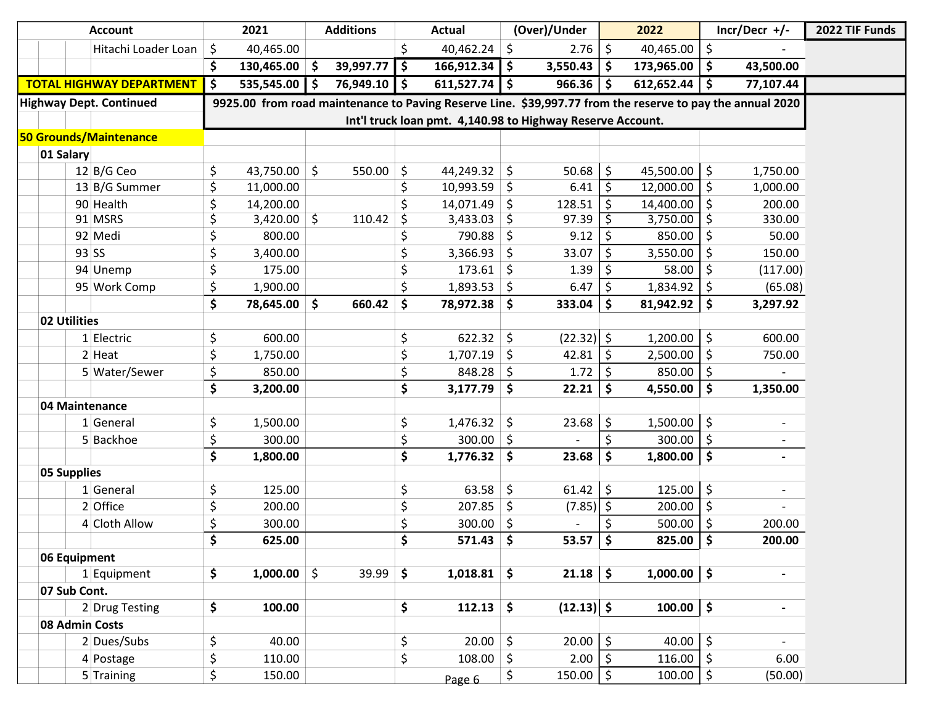| <b>Account</b>                  | 2021                                                                                                      |               | <b>Additions</b> |    | Actual         |                     | (Over)/Under                                               |         | 2022          |                     | $Incr/Decr$ +/-          | 2022 TIF Funds |
|---------------------------------|-----------------------------------------------------------------------------------------------------------|---------------|------------------|----|----------------|---------------------|------------------------------------------------------------|---------|---------------|---------------------|--------------------------|----------------|
| Hitachi Loader Loan             | \$<br>40,465.00                                                                                           |               |                  | \$ | 40,462.24      | $\zeta$             | 2.76                                                       | $\zeta$ | 40,465.00     | \$                  |                          |                |
|                                 | \$<br>$130,465.00$ \$                                                                                     |               | 39,997.77        | \$ | 166,912.34     | $\ddot{\bm{\zeta}}$ | 3,550.43                                                   | -\$     | 173,965.00    | $\ddot{\bm{\zeta}}$ | 43,500.00                |                |
| <b>TOTAL HIGHWAY DEPARTMENT</b> | \$<br>535,545.00                                                                                          | .\$           | 76,949.10        | \$ | 611,527.74     | \$                  | 966.36                                                     | \$.     | 612,652.44    | \$                  | 77,107.44                |                |
| <b>Highway Dept. Continued</b>  | 9925.00 from road maintenance to Paving Reserve Line. \$39,997.77 from the reserve to pay the annual 2020 |               |                  |    |                |                     |                                                            |         |               |                     |                          |                |
|                                 |                                                                                                           |               |                  |    |                |                     | Int'l truck loan pmt. 4,140.98 to Highway Reserve Account. |         |               |                     |                          |                |
| 50 Grounds/Maintenance          |                                                                                                           |               |                  |    |                |                     |                                                            |         |               |                     |                          |                |
| 01 Salary                       |                                                                                                           |               |                  |    |                |                     |                                                            |         |               |                     |                          |                |
| $12$ B/G Ceo                    | \$<br>43,750.00                                                                                           | $\zeta$       | 550.00           | \$ | $44,249.32$ \$ |                     | 50.68                                                      | $\zeta$ | 45,500.00     | \$                  | 1,750.00                 |                |
| 13 B/G Summer                   | \$<br>11,000.00                                                                                           |               |                  | \$ | 10,993.59      | $\ddot{\varsigma}$  | 6.41                                                       | Ŝ.      | 12,000.00     | \$                  | 1,000.00                 |                |
| 90 Health                       | \$<br>14,200.00                                                                                           |               |                  |    | 14,071.49      | \$                  | 128.51                                                     | \$      | 14,400.00     | S                   | 200.00                   |                |
| 91 MSRS                         | 3,420.00                                                                                                  | $\zeta$       | 110.42           | \$ | 3,433.03       | \$                  | 97.39                                                      |         | 3,750.00      |                     | 330.00                   |                |
| 92 Medi                         | \$<br>800.00                                                                                              |               |                  |    | 790.88         | \$                  | 9.12                                                       | \$      | 850.00        |                     | 50.00                    |                |
| 93 SS                           | \$<br>3,400.00                                                                                            |               |                  | \$ | 3,366.93       | \$                  | 33.07                                                      | \$      | 3,550.00      |                     | 150.00                   |                |
| 94 Unemp                        | \$<br>175.00                                                                                              |               |                  | \$ | 173.61         | \$                  | 1.39                                                       | \$.     | 58.00         |                     | (117.00)                 |                |
| 95 Work Comp                    | \$<br>1,900.00                                                                                            |               |                  |    | 1,893.53       | \$                  | 6.47                                                       | \$      | 1,834.92      | \$                  | (65.08)                  |                |
|                                 | \$<br>78,645.00                                                                                           | \$            | 660.42           | \$ | 78,972.38      | \$                  | 333.04                                                     | \$      | 81,942.92     | \$                  | 3,297.92                 |                |
| 02 Utilities                    |                                                                                                           |               |                  |    |                |                     |                                                            |         |               |                     |                          |                |
| 1 Electric                      | \$<br>600.00                                                                                              |               |                  | \$ | 622.32         | \$                  | $(22.32)$ \$                                               |         | 1,200.00      | \$                  | 600.00                   |                |
| 2 Heat                          | \$<br>1,750.00                                                                                            |               |                  | \$ | 1,707.19       | \$                  | 42.81                                                      | \$      | 2,500.00      | \$                  | 750.00                   |                |
| 5 Water/Sewer                   | \$<br>850.00                                                                                              |               |                  | \$ | 848.28         | \$                  | 1.72                                                       | \$      | 850.00        | \$                  |                          |                |
|                                 | \$<br>3,200.00                                                                                            |               |                  | \$ | 3,177.79       | $\ddot{\bm{\zeta}}$ | 22.21                                                      | \$      | 4,550.00      | \$                  | 1,350.00                 |                |
| 04 Maintenance                  |                                                                                                           |               |                  |    |                |                     |                                                            |         |               |                     |                          |                |
| $1$ General                     | \$<br>1,500.00                                                                                            |               |                  | \$ | 1,476.32       | \$                  | 23.68                                                      | Ŝ.      | 1,500.00      | \$                  |                          |                |
| 5 Backhoe                       | \$<br>300.00                                                                                              |               |                  | \$ | $300.00$ \$    |                     |                                                            | \$      | 300.00        | \$                  |                          |                |
|                                 | $\overline{\boldsymbol{\zeta}}$<br>1,800.00                                                               |               |                  | \$ | $1,776.32$ \$  |                     | 23.68                                                      | \$      | 1,800.00      | \$                  | $\overline{\phantom{a}}$ |                |
| <b>05 Supplies</b>              |                                                                                                           |               |                  |    |                |                     |                                                            |         |               |                     |                          |                |
| $1$ General                     | \$<br>125.00                                                                                              |               |                  | \$ | 63.58          | \$                  | $61.42$ \$                                                 |         | 125.00        | $\zeta$             |                          |                |
| 2 Office                        | \$<br>200.00                                                                                              |               |                  | \$ | 207.85         | \$                  | $(7.85)$ \$                                                |         | 200.00        | \$                  |                          |                |
| 4 Cloth Allow                   | \$<br>300.00                                                                                              |               |                  | \$ | 300.00         | \$                  |                                                            |         | 500.00        |                     | 200.00                   |                |
|                                 | $\mathsf{\hat{S}}$<br>625.00                                                                              |               |                  | \$ | $571.43$ \$    |                     | $53.57 \mid 5$                                             |         | 825.00        | -Ś                  | 200.00                   |                |
| 06 Equipment                    |                                                                                                           |               |                  |    |                |                     |                                                            |         |               |                     |                          |                |
| $1$ Equipment                   | \$<br>1,000.00                                                                                            | $\frac{1}{2}$ | 39.99            | \$ | $1,018.81$ \$  |                     | $21.18$ \$                                                 |         | $1,000.00$ \$ |                     |                          |                |
| 07 Sub Cont.                    |                                                                                                           |               |                  |    |                |                     |                                                            |         |               |                     |                          |                |
| 2 Drug Testing                  | \$<br>100.00                                                                                              |               |                  | \$ | 112.13         | \$                  | $(12.13)$ \$                                               |         | 100.00        | $\frac{1}{2}$       | $\blacksquare$           |                |
| 08 Admin Costs                  |                                                                                                           |               |                  |    |                |                     |                                                            |         |               |                     |                          |                |
| 2 Dues/Subs                     | \$<br>40.00                                                                                               |               |                  | \$ | 20.00          | $\frac{1}{2}$       | $20.00$   \$                                               |         | 40.00         | \$                  | $\blacksquare$           |                |
| 4 Postage                       | \$<br>110.00                                                                                              |               |                  | \$ | 108.00         | $\zeta$             | $2.00$   \$                                                |         | 116.00        | \$                  | 6.00                     |                |
| $5$ Training                    | \$<br>150.00                                                                                              |               |                  |    | Page 6         | \$                  | $150.00$   \$                                              |         | 100.00        | $\ddot{\phi}$       | (50.00)                  |                |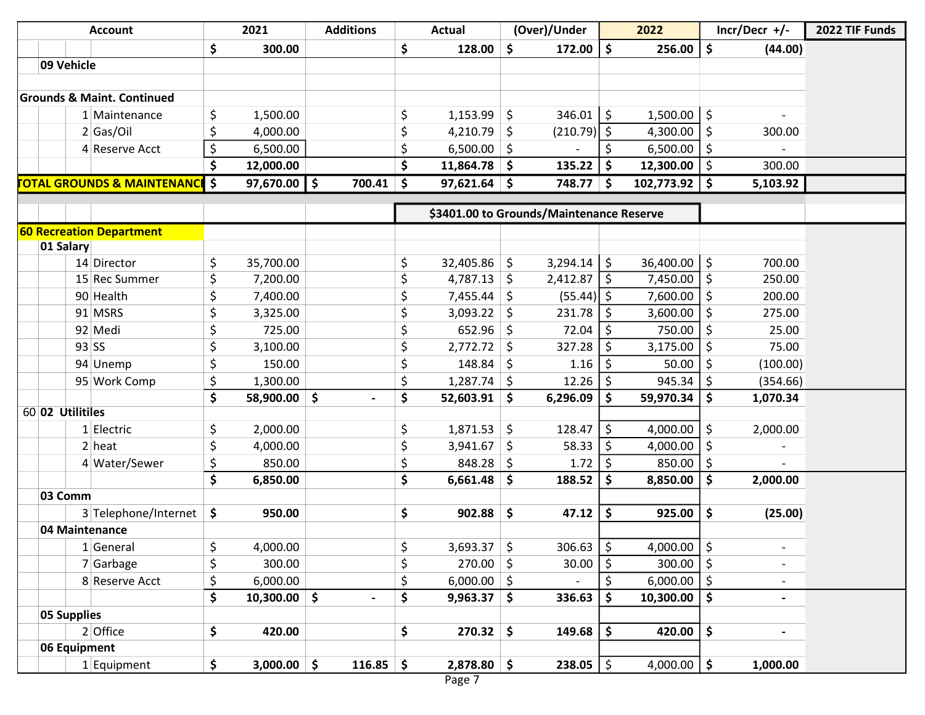| <b>Account</b>                           |                  | 2021                      | <b>Additions</b> | <b>Actual</b>        |                     | (Over)/Under                             |          | 2022             |                     | $Incr/Decr$ +/-          | 2022 TIF Funds |
|------------------------------------------|------------------|---------------------------|------------------|----------------------|---------------------|------------------------------------------|----------|------------------|---------------------|--------------------------|----------------|
|                                          | \$               | 300.00                    |                  | \$<br>128.00         | \$                  | $172.00$   \$                            |          | 256.00           | \$                  | (44.00)                  |                |
| 09 Vehicle                               |                  |                           |                  |                      |                     |                                          |          |                  |                     |                          |                |
|                                          |                  |                           |                  |                      |                     |                                          |          |                  |                     |                          |                |
| <b>Grounds &amp; Maint. Continued</b>    |                  |                           |                  |                      |                     |                                          |          |                  |                     |                          |                |
| 1 Maintenance                            | \$               | 1,500.00                  |                  | \$<br>1,153.99       | \$                  | $346.01$   \$                            |          | 1,500.00         | $\ddot{\varsigma}$  |                          |                |
| 2 Gas/Oi                                 | \$               | 4,000.00                  |                  | \$<br>4,210.79       | \$                  | $(210.79)$ \$                            |          | 4,300.00         | \$                  | 300.00                   |                |
| 4 Reserve Acct                           | \$               | 6,500.00                  |                  | \$<br>6,500.00       | -\$                 |                                          | \$       | 6,500.00         | \$                  |                          |                |
|                                          | \$               | 12,000.00                 |                  | \$<br>$11,864.78$ \$ |                     | 135.22 $\frac{1}{5}$                     |          | 12,300.00        | $\ddot{\mathsf{S}}$ | 300.00                   |                |
| <b>OTAL GROUNDS &amp; MAINTENANCE</b> \$ |                  | $97,670.00$ $\frac{1}{5}$ | $700.41$ \$      | $97,621.64$ \$       |                     | $748.77$ \$                              |          | $102,773.92$ \$  |                     | 5,103.92                 |                |
|                                          |                  |                           |                  |                      |                     |                                          |          |                  |                     |                          |                |
|                                          |                  |                           |                  |                      |                     | \$3401.00 to Grounds/Maintenance Reserve |          |                  |                     |                          |                |
| <b>60 Recreation Department</b>          |                  |                           |                  |                      |                     |                                          |          |                  |                     |                          |                |
| 01 Salary                                |                  |                           |                  |                      |                     |                                          |          |                  |                     |                          |                |
| 14 Director                              | \$               | 35,700.00                 |                  | \$<br>32,405.86      | \$                  | $3,294.14$   \$                          |          | $36,400.00$   \$ |                     | 700.00                   |                |
| 15 Rec Summer                            | \$               | 7,200.00                  |                  | \$<br>4,787.13       | \$                  | $2,412.87$   \$                          |          | 7,450.00         | $\zeta$             | 250.00                   |                |
| 90 Health                                | \$               | 7,400.00                  |                  | \$<br>7,455.44       | \$                  | $(55.44)$ \$                             |          | 7,600.00         | \$                  | 200.00                   |                |
| 91 MSRS                                  | \$               | 3,325.00                  |                  | \$<br>3,093.22       | -\$                 | $231.78$   \$                            |          | 3,600.00         | \$                  | 275.00                   |                |
| 92 Medi                                  | \$               | 725.00                    |                  | \$<br>652.96         | \$                  | 72.04                                    | \$       | 750.00           | \$                  | 25.00                    |                |
| $93$ SS                                  | \$               | 3,100.00                  |                  | \$<br>2,772.72       | \$                  | 327.28                                   | \$       | 3,175.00         | \$                  | 75.00                    |                |
| 94 Unemp                                 | \$               | 150.00                    |                  | \$<br>148.84         | \$                  | $1.16$   \$                              |          | 50.00            | \$                  | (100.00)                 |                |
| 95 Work Comp                             | \$               | 1,300.00                  |                  | \$<br>1,287.74       | -\$                 | 12.26                                    | \$.      | 945.34           | \$                  | (354.66)                 |                |
|                                          | \$               | 58,900.00                 | \$               | \$<br>52,603.91      | \$                  | 6,296.09                                 | \$       | 59,970.34        | \$                  | 1,070.34                 |                |
| 60 02 Utilitiles                         |                  |                           |                  |                      |                     |                                          |          |                  |                     |                          |                |
| 1 Electric                               | \$               | 2,000.00                  |                  | \$<br>1,871.53       | \$                  | 128.47                                   | \$       | 4,000.00         | \$                  | 2,000.00                 |                |
| $2$ heat                                 | \$               | 4,000.00                  |                  | \$<br>3,941.67       | \$                  | $58.33$   \$                             |          | 4,000.00         | \$                  |                          |                |
| 4 Water/Sewer                            | \$               | 850.00                    |                  | \$<br>848.28         | -\$                 | 1.72                                     | \$       | 850.00           | \$                  |                          |                |
|                                          | \$               | 6,850.00                  |                  | \$<br>6,661.48       | \$                  | 188.52                                   | \$       | 8,850.00         | \$                  | 2,000.00                 |                |
| 03 Comm                                  |                  |                           |                  |                      |                     |                                          |          |                  |                     |                          |                |
| 3 Telephone/Internet                     | \$               | 950.00                    |                  | \$<br>902.88         | \$                  | 47.12                                    | \$       | 925.00           | \$                  | (25.00)                  |                |
| 04 Maintenance                           |                  |                           |                  |                      |                     |                                          |          |                  |                     |                          |                |
| 1 General                                | $\epsilon$<br>Ç. | 4,000.00                  |                  | \$<br>$3,693.37$ \$  |                     | $306.63$ \$                              |          | 4,000.00         | $\zeta$             |                          |                |
| 7 Garbage                                | \$               | 300.00                    |                  | \$<br>$270.00$ \$    |                     | $30.00$   \$                             |          | 300.00           | $\zeta$             |                          |                |
| 8 Reserve Acct                           | \$               | 6,000.00                  |                  | \$<br>$6,000.00$ \$  |                     |                                          | $\zeta$  | $6,000.00$   \$  |                     |                          |                |
|                                          | \$               | $10,300.00$ \$            |                  | \$<br>$9,963.37$ \$  |                     | 336.63                                   | <b>S</b> | 10,300.00        | $\ddot{\bm{\zeta}}$ | $\overline{\phantom{a}}$ |                |
| 05 Supplies                              |                  |                           |                  |                      |                     |                                          |          |                  |                     |                          |                |
| $2$ Office                               | \$               | 420.00                    |                  | \$<br>270.32         | $\ddot{\bm{\zeta}}$ | $149.68$   \$                            |          | 420.00           | \$                  | $\overline{\phantom{a}}$ |                |
| 06 Equipment                             |                  |                           |                  |                      |                     |                                          |          |                  |                     |                          |                |
| $1$ Equipment                            | \$               | $3,000.00$ \$             | $116.85$ \$      | $2,878.80$ \$        |                     | $238.05$   \$                            |          | 4,000.00   \$    |                     | 1,000.00                 |                |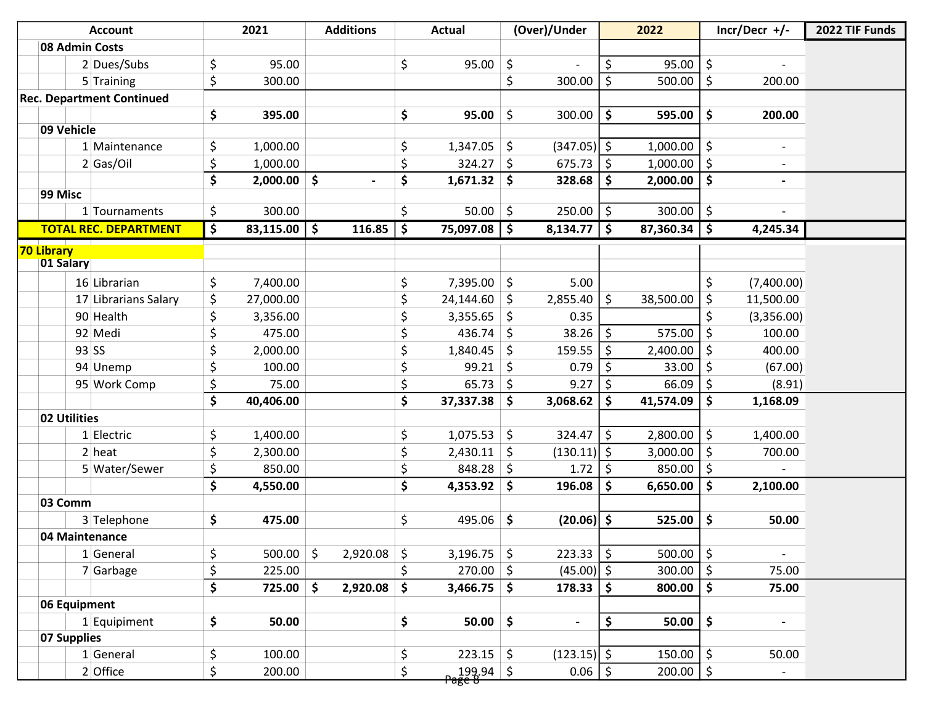|            | <b>Account</b>                   | 2021            | <b>Additions</b>    |                          | <b>Actual</b>         |                     | (Over)/Under             |         | 2022          | $Incr/Decr$ +/-                    | 2022 TIF Funds |
|------------|----------------------------------|-----------------|---------------------|--------------------------|-----------------------|---------------------|--------------------------|---------|---------------|------------------------------------|----------------|
|            | 08 Admin Costs                   |                 |                     |                          |                       |                     |                          |         |               |                                    |                |
|            | 2 Dues/Subs                      | \$<br>95.00     |                     | \$                       | 95.00                 | \$                  |                          | \$      | 95.00         | \$                                 |                |
|            | 5 Training                       | \$<br>300.00    |                     |                          |                       | \$                  | 300.00                   | \$      | 500.00        | \$<br>200.00                       |                |
|            | <b>Rec. Department Continued</b> |                 |                     |                          |                       |                     |                          |         |               |                                    |                |
|            |                                  | \$<br>395.00    |                     | \$                       | 95.00                 | \$                  | 300.00                   | \$      | 595.00        | \$<br>200.00                       |                |
|            | 09 Vehicle                       |                 |                     |                          |                       |                     |                          |         |               |                                    |                |
|            | 1 Maintenance                    | \$<br>1,000.00  |                     | \$                       | 1,347.05              | $\zeta$             | $(347.05)$ \$            |         | 1,000.00      | \$                                 |                |
|            | 2 Gas/Oi                         | \$<br>1,000.00  |                     | \$                       | 324.27                | \$                  | 675.73                   | \$      | 1,000.00      | \$<br>$\overline{\phantom{0}}$     |                |
|            |                                  | \$<br>2,000.00  | \$                  | \$                       | 1,671.32              | \$                  | 328.68                   | \$      | 2,000.00      | \$<br>$\overline{\phantom{a}}$     |                |
| 99 Misc    |                                  |                 |                     |                          |                       |                     |                          |         |               |                                    |                |
|            | 1 Tournaments                    | \$<br>300.00    |                     | \$                       | $50.00$ \$            |                     | 250.00                   | \$      | 300.00        | \$                                 |                |
|            | <b>TOTAL REC. DEPARTMENT</b>     | \$<br>83,115.00 | \$<br>116.85        | $\overline{\phantom{a}}$ | 75,097.08             | $\ddot{\bm{\zeta}}$ | 8,134.77                 | \$      | 87,360.34     | \$<br>4,245.34                     |                |
| 70 Library |                                  |                 |                     |                          |                       |                     |                          |         |               |                                    |                |
|            | 01 Salary                        |                 |                     |                          |                       |                     |                          |         |               |                                    |                |
|            | 16 Librarian                     | \$<br>7,400.00  |                     | \$                       | 7,395.00              | \$                  | 5.00                     |         |               | \$<br>(7,400.00)                   |                |
|            | 17 Librarians Salary             | \$<br>27,000.00 |                     | \$                       | 24,144.60             | \$                  | 2,855.40                 | $\zeta$ | 38,500.00     | \$<br>11,500.00                    |                |
|            | 90 Health                        | \$<br>3,356.00  |                     | \$                       | 3,355.65              | \$                  | 0.35                     |         |               | \$<br>(3,356.00)                   |                |
|            | 92 Medi                          | \$<br>475.00    |                     | \$                       | 436.74                | \$                  | 38.26                    | \$      | 575.00        | \$<br>100.00                       |                |
|            | $93$ SS                          | \$<br>2,000.00  |                     | \$                       | 1,840.45              | \$                  | 159.55                   | \$      | 2,400.00      | \$<br>400.00                       |                |
|            | 94 Unemp                         | \$<br>100.00    |                     | \$                       | 99.21                 | \$                  | 0.79                     | \$      | 33.00         | \$<br>(67.00)                      |                |
|            | 95 Work Comp                     | \$<br>75.00     |                     | \$                       | 65.73                 | \$                  | 9.27                     | \$      | 66.09         | \$<br>(8.91)                       |                |
|            |                                  | \$<br>40,406.00 |                     | \$                       | 37,337.38             | \$                  | 3,068.62                 | \$      | 41,574.09     | \$<br>1,168.09                     |                |
|            | 02 Utilities                     |                 |                     |                          |                       |                     |                          |         |               |                                    |                |
|            | $1$ Electric                     | \$<br>1,400.00  |                     | \$                       | 1,075.53              | \$                  | 324.47                   | \$      | 2,800.00      | \$<br>1,400.00                     |                |
|            | $2$ heat                         | \$<br>2,300.00  |                     | \$                       | 2,430.11              | \$                  | $(130.11)$ \$            |         | 3,000.00      | \$<br>700.00                       |                |
|            | 5 Water/Sewer                    | \$<br>850.00    |                     | \$                       | 848.28                | \$                  | 1.72                     | \$      | 850.00        | \$                                 |                |
|            |                                  | \$<br>4,550.00  |                     | \$                       | 4,353.92              | \$                  | 196.08                   | \$      | 6,650.00      | \$<br>2,100.00                     |                |
|            | 03 Comm                          |                 |                     |                          |                       |                     |                          |         |               |                                    |                |
|            | 3 Telephone                      | \$<br>475.00    |                     | \$                       | 495.06                | \$                  | $(20.06)$ \$             |         | 525.00        | \$<br>50.00                        |                |
|            | 04 Maintenance                   |                 |                     |                          |                       |                     |                          |         |               |                                    |                |
|            | $1$ General                      | \$<br>500.00    | \$<br>$2,920.08$ \$ |                          | $3,196.75$ \$         |                     | $223.33$   \$            |         | 500.00        | \$<br>$\overline{\phantom{a}}$     |                |
|            | $7$ Garbage                      | \$<br>225.00    |                     | \$                       | $270.00$ \$           |                     | $(45.00)$ \$             |         | $300.00$   \$ | 75.00                              |                |
|            |                                  | \$<br>725.00    | \$<br>$2,920.08$ \$ |                          | $3,466.75$ \$         |                     | 178.33                   | \$      | 800.00        | \$<br>75.00                        |                |
|            | 06 Equipment                     |                 |                     |                          |                       |                     |                          |         |               |                                    |                |
|            | 1 Equipiment                     | \$<br>50.00     |                     | \$                       | 50.00                 | \$                  | $\overline{\phantom{a}}$ | \$      | 50.00         | \$<br>$\qquad \qquad \blacksquare$ |                |
|            | 07 Supplies                      |                 |                     |                          |                       |                     |                          |         |               |                                    |                |
|            | $1$ General                      | \$<br>100.00    |                     | \$                       | $223.15$ \$           |                     | $(123.15)$ \$            |         | $150.00$   \$ | 50.00                              |                |
|            | 2 Office                         | \$<br>200.00    |                     | \$                       | 199.94   \$<br>Page 8 |                     | $0.06$   \$              |         | $200.00$   \$ | $\overline{\phantom{a}}$           |                |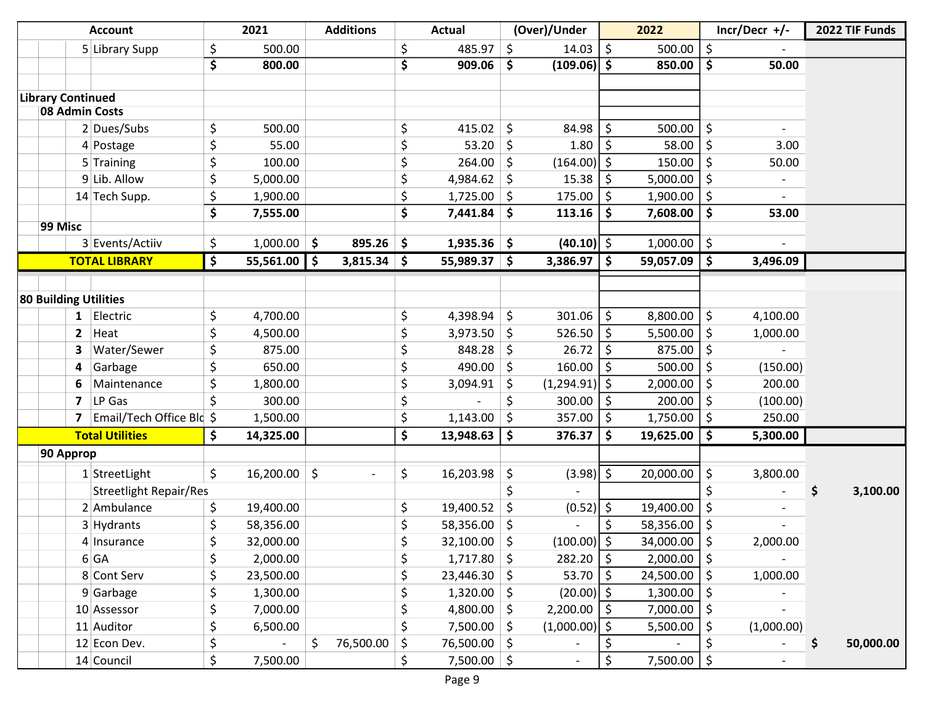| \$<br>\$<br>$\zeta$<br>\$<br>500.00<br>\$<br>485.97<br>14.03<br>500.00<br>5 Library Supp<br>\$<br>\$<br>\$<br>\$<br>$(109.06)$ \$<br>850.00<br>50.00<br>800.00<br>909.06<br><b>Library Continued</b><br>08 Admin Costs |           |
|------------------------------------------------------------------------------------------------------------------------------------------------------------------------------------------------------------------------|-----------|
|                                                                                                                                                                                                                        |           |
|                                                                                                                                                                                                                        |           |
|                                                                                                                                                                                                                        |           |
|                                                                                                                                                                                                                        |           |
|                                                                                                                                                                                                                        |           |
| \$<br>\$<br>\$<br>2 Dues/Subs<br>500.00<br>415.02<br>\$<br>84.98<br>500.00<br>-\$                                                                                                                                      |           |
| 58.00<br>53.20<br>1.80<br>\$<br>55.00<br>\$<br>\$<br>\$<br>\$<br>3.00<br>4 Postage                                                                                                                                     |           |
| \$<br>\$<br>\$<br>(164.00)<br>\$<br>150.00<br>\$<br>$5$ Training<br>100.00<br>264.00<br>50.00                                                                                                                          |           |
| \$<br>9 Lib. Allow<br>\$<br>4,984.62<br>15.38<br>\$<br>5,000.00<br>\$<br>5,000.00<br>\$                                                                                                                                |           |
| \$<br>\$<br>\$<br>175.00<br>\$<br>1,900.00<br>\$<br>14 Tech Supp.<br>1,900.00<br>1,725.00                                                                                                                              |           |
| \$<br>\$<br>\$<br>\$<br>7,441.84<br>113.16<br>\$<br>7,608.00<br>53.00<br>7,555.00                                                                                                                                      |           |
| 99 Misc                                                                                                                                                                                                                |           |
| \$<br>3 Events/Actiiv<br>$1,000.00$ \$<br>$895.26$ \$<br>$(40.10)$ \$<br>1,000.00<br>\$<br>1,935.36<br>-\$                                                                                                             |           |
| \$<br><b>TOTAL LIBRARY</b><br>55,561.00<br>\$<br>\$<br>$3,815.34$ \$<br>55,989.37<br>\$<br>$3,386.97$   \$<br>59,057.09<br>3,496.09                                                                                    |           |
|                                                                                                                                                                                                                        |           |
| 80 Building Utilities                                                                                                                                                                                                  |           |
| \$<br>\$<br>\$<br>\$<br>\$<br>301.06<br>8,800.00<br>Electric<br>4,398.94<br>4,100.00<br>4,700.00<br>1                                                                                                                  |           |
| \$<br>$\zeta$<br>\$<br>526.50<br>5,500.00<br>$\overline{2}$<br>Heat<br>4,500.00<br>3,973.50<br>\$<br>\$<br>1,000.00                                                                                                    |           |
| \$<br>\$<br>848.28<br>$\zeta$<br>26.72<br>\$<br>\$<br>Water/Sewer<br>875.00<br>875.00<br>3                                                                                                                             |           |
| 490.00<br>160.00<br>Garbage<br>\$<br>650.00<br>\$<br>\$<br>500.00<br>\$<br>(150.00)<br>-S<br>4                                                                                                                         |           |
| \$<br>\$<br>$(1,294.91)$ \$<br>1,800.00<br>3,094.91<br>\$<br>2,000.00<br>\$<br>200.00<br>6<br>Maintenance                                                                                                              |           |
| \$<br>\$<br>LP Gas<br>\$<br>300.00<br>200.00<br>300.00<br>Ŝ.<br>\$<br>$\overline{ }$<br>(100.00)                                                                                                                       |           |
| \$<br>Email/Tech Office Bld \$<br>357.00<br>\$<br>1,750.00<br>\$<br>1,500.00<br>1,143.00<br>250.00<br>\$<br>7                                                                                                          |           |
| \$<br><b>Total Utilities</b><br>\$<br>\$<br>376.37<br>\$<br>14,325.00<br>13,948.63<br>\$<br>19,625.00<br>5,300.00                                                                                                      |           |
| 90 Approp                                                                                                                                                                                                              |           |
| \$<br>$\zeta$<br>\$<br>\$<br>$(3.98)$   \$<br>\$<br>3,800.00<br>16,200.00<br>16,203.98<br>20,000.00<br>$1$ StreetLight<br>$\overline{\phantom{a}}$                                                                     |           |
| \$<br>\$<br>\$<br><b>Streetlight Repair/Res</b>                                                                                                                                                                        | 3,100.00  |
| $(0.52)$ \$<br>2 Ambulance<br>\$<br>19,400.00<br>\$<br>19,400.52<br>\$<br>19,400.00<br>\$                                                                                                                              |           |
| \$<br>\$<br>\$<br>3 Hydrants<br>58,356.00<br>58,356.00<br>58,356.00<br>\$<br>\$.                                                                                                                                       |           |
| \$<br>Ś<br>$\frac{1}{2}$<br>Ś.<br>32,100.00<br>$(100.00)$ \$<br>34,000.00<br>32,000.00<br>2,000.00<br>4 Insurance                                                                                                      |           |
| $282.20$   \$<br>$2,000.00$   \$<br>\$<br>2,000.00<br>\$<br>$1,717.80$ \$<br>6 GA                                                                                                                                      |           |
| \$<br>$53.70$ \$<br>\$<br>8 Cont Serv<br>23,500.00<br>$23,446.30$ \$<br>$24,500.00$   \$<br>1,000.00                                                                                                                   |           |
| \$<br>\$<br>$(20.00)$ \$<br>$1,320.00$ \$<br>\$<br>$9$ Garbage<br>1,300.00<br>1,300.00                                                                                                                                 |           |
| \$<br>\$<br>4,800.00 \$<br>$2,200.00$   \$<br>\$<br>7,000.00<br>7,000.00<br>10 Assessor                                                                                                                                |           |
| \$<br>\$<br>\$<br>$7,500.00$ \$<br>$(1,000.00)$ \$<br>11 Auditor<br>6,500.00<br>5,500.00<br>(1,000.00)                                                                                                                 |           |
| \$<br>$\zeta$<br>76,500.00<br>\$<br>12 Econ Dev.<br>$\sim$<br>\$<br>76,500.00 \$<br>\$<br>\$                                                                                                                           | 50,000.00 |
| \$<br>\$<br>$7,500.00$   \$<br>14 Council<br>\$<br>$7,500.00$ \$<br>7,500.00<br>$\overline{\phantom{a}}$                                                                                                               |           |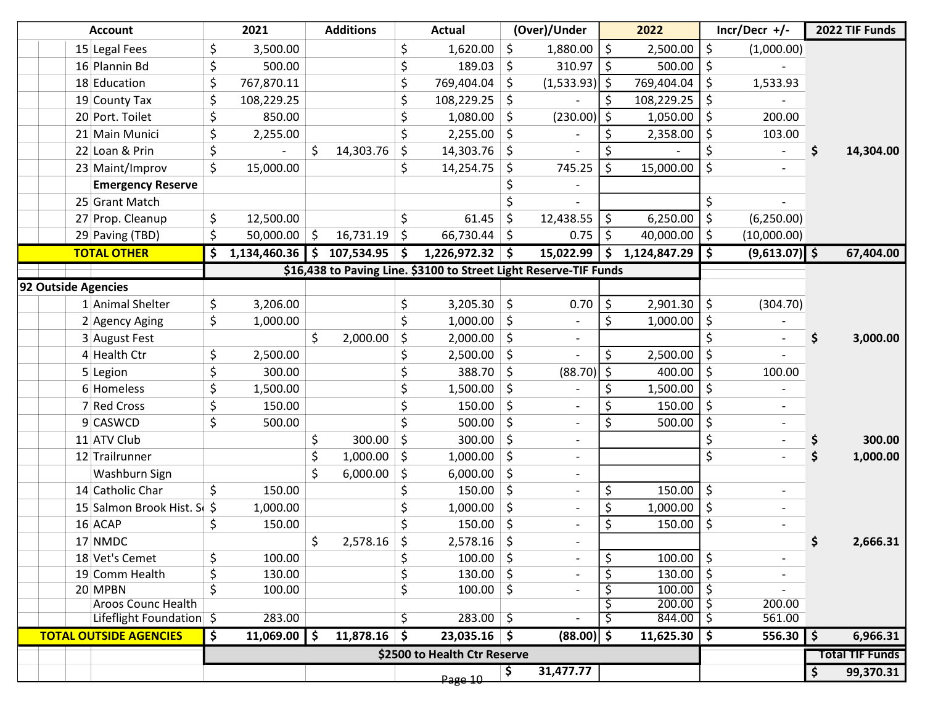|                     | <b>Account</b>                                            | 2021                                                      | <b>Additions</b> |     | <b>Actual</b>                                                     | (Over)/Under                   |     | 2022             |         | $Incr/Decr$ +/- | 2022 TIF Funds         |
|---------------------|-----------------------------------------------------------|-----------------------------------------------------------|------------------|-----|-------------------------------------------------------------------|--------------------------------|-----|------------------|---------|-----------------|------------------------|
|                     | 15 Legal Fees                                             | \$<br>3,500.00                                            |                  | \$  | 1,620.00                                                          | \$<br>1,880.00                 | \$  | 2,500.00         | \$      | (1,000.00)      |                        |
|                     | 16 Plannin Bd                                             | \$<br>500.00                                              |                  | \$  | 189.03                                                            | \$<br>310.97                   | -\$ | 500.00           | \$      |                 |                        |
|                     | 18 Education                                              | \$<br>767,870.11                                          |                  | \$  | 769,404.04                                                        | \$<br>$(1,533.93)$   \$        |     | 769,404.04       | \$      | 1,533.93        |                        |
|                     | 19 County Tax                                             | \$<br>108,229.25                                          |                  | \$  | 108,229.25                                                        | \$                             |     | 108,229.25       |         |                 |                        |
|                     | 20 Port. Toilet                                           | \$<br>850.00                                              |                  | \$  | 1,080.00                                                          | \$<br>$(230.00)$ \$            |     | 1,050.00         | \$      | 200.00          |                        |
|                     | 21 Main Munici                                            | \$<br>2,255.00                                            |                  | \$  | 2,255.00                                                          | \$                             | Ś   | 2,358.00         | \$      | 103.00          |                        |
|                     | 22 Loan & Prin                                            | \$                                                        | \$<br>14,303.76  | \$  | 14,303.76                                                         | \$                             |     |                  | \$      |                 | \$<br>14,304.00        |
|                     | 23 Maint/Improv                                           | \$<br>15,000.00                                           |                  | \$  | 14,254.75                                                         | \$<br>745.25                   | S   | 15,000.00        | \$      |                 |                        |
|                     | <b>Emergency Reserve</b>                                  |                                                           |                  |     |                                                                   |                                |     |                  |         |                 |                        |
|                     | 25 Grant Match                                            |                                                           |                  |     |                                                                   |                                |     |                  | \$      |                 |                        |
|                     | 27 Prop. Cleanup                                          | \$<br>12,500.00                                           |                  | \$  | 61.45                                                             | \$<br>12,438.55                | \$  | 6,250.00         | \$      | (6,250.00)      |                        |
|                     | 29 Paving (TBD)                                           | \$<br>$50,000.00$ \$                                      | $16,731.19$ \$   |     | $66,730.44$ \$                                                    | 0.75                           | \$  | 40,000.00        | \$      | (10,000.00)     |                        |
|                     | <b>TOTAL OTHER</b>                                        | \$<br>1,134,460.36 $\vert \sin 107,534.95 \vert \sin 107$ |                  |     | $1,226,972.32$ \$                                                 | 15,022.99                      | \$. | 1,124,847.29     | \$      | $(9,613.07)$ \$ | 67,404.00              |
|                     |                                                           |                                                           |                  |     | \$16,438 to Paving Line. \$3100 to Street Light Reserve-TIF Funds |                                |     |                  |         |                 |                        |
| 92 Outside Agencies |                                                           |                                                           |                  |     |                                                                   |                                |     |                  |         |                 |                        |
|                     | 1 Animal Shelter                                          | \$<br>3,206.00                                            |                  | \$  | 3,205.30                                                          | \$<br>0.70                     | \$  | 2,901.30         | \$      | (304.70)        |                        |
|                     | 2 Agency Aging                                            | \$<br>1,000.00                                            |                  | \$  | 1,000.00                                                          | \$                             | \$  | 1,000.00         | \$      |                 |                        |
|                     | 3 August Fest                                             |                                                           | \$<br>2,000.00   | \$  | 2,000.00                                                          | \$                             |     |                  |         |                 | \$<br>3,000.00         |
|                     | 4 Health Ctr                                              | \$<br>2,500.00                                            |                  | \$  | 2,500.00                                                          | \$                             | \$  | 2,500.00         | \$      |                 |                        |
|                     | 5 Legion                                                  | \$<br>300.00                                              |                  | \$  | 388.70                                                            | \$<br>$(88.70)$ \$             |     | 400.00           | \$      | 100.00          |                        |
|                     | 6 Homeless                                                | \$<br>1,500.00                                            |                  | \$  | 1,500.00                                                          | \$                             |     | 1,500.00         | \$      |                 |                        |
|                     | 7 Red Cross                                               | \$<br>150.00                                              |                  | \$  | 150.00                                                            | \$                             |     | 150.00           | \$      |                 |                        |
|                     | 9 CASWCD                                                  | \$<br>500.00                                              |                  | \$  | 500.00                                                            | \$                             | \$  | 500.00           | \$      |                 |                        |
|                     | 11 ATV Club                                               |                                                           | \$<br>300.00     | \$  | 300.00                                                            | \$<br>$\overline{\phantom{a}}$ |     |                  | \$      |                 | 300.00                 |
|                     | 12 Trailrunner                                            |                                                           | \$<br>1,000.00   | \$  | 1,000.00                                                          | \$<br>$\overline{\phantom{a}}$ |     |                  | \$      |                 | 1,000.00               |
|                     | Washburn Sign                                             |                                                           | 6,000.00         | -\$ | 6,000.00                                                          | \$<br>-                        |     |                  |         |                 |                        |
|                     | 14 Catholic Char                                          | \$<br>150.00                                              |                  | \$  | 150.00                                                            | \$<br>$\overline{\phantom{a}}$ | \$  | 150.00           | \$      |                 |                        |
|                     | 15 Salmon Brook Hist. Su \$                               | 1,000.00                                                  |                  | \$  | 1,000.00                                                          | \$                             | \$  | 1,000.00         | \$      |                 |                        |
|                     | 16 ACAP                                                   | \$<br>150.00                                              |                  | \$  | 150.00                                                            | \$<br>$\overline{\phantom{0}}$ | Ś   | 150.00           | \$      |                 |                        |
|                     | 17 NMDC                                                   |                                                           | \$<br>2,578.16   | ¢   | $2,578.16$ \$                                                     |                                |     |                  |         |                 | 2,666.31               |
|                     | 18 Vet's Cemet                                            | \$<br>100.00                                              |                  | \$  | $100.00$   \$                                                     | $\overline{\phantom{a}}$       | \$  | 100.00           | $\zeta$ |                 |                        |
|                     | 19 Comm Health                                            | \$<br>130.00                                              |                  | \$  | $130.00$ \$                                                       |                                | \$  | 130.00           | -\$     |                 |                        |
|                     | 20 MPBN                                                   | \$<br>100.00                                              |                  | \$  | $100.00$ \$                                                       |                                |     | 100.00           |         |                 |                        |
|                     | <b>Aroos Counc Health</b>                                 | 283.00                                                    |                  |     | $283.00$ \$                                                       | $\overline{\phantom{a}}$       |     | 200.00<br>844.00 | -\$     | 200.00          |                        |
|                     | Lifeflight Foundation \$<br><b>TOTAL OUTSIDE AGENCIES</b> |                                                           |                  | \$  |                                                                   |                                | S   |                  | \$      | 561.00          |                        |
|                     |                                                           | \$<br>$11,069.00$   \$                                    | $11,878.16$ \$   |     | $23,035.16$ \$                                                    | $(88.00)$ \$                   |     | $11,625.30$   \$ |         | $556.30$   \$   | 6,966.31               |
|                     |                                                           |                                                           |                  |     | \$2500 to Health Ctr Reserve                                      |                                |     |                  |         |                 | <b>Total TIF Funds</b> |
|                     |                                                           |                                                           |                  |     | Page 10                                                           | \$<br>31,477.77                |     |                  |         |                 | \$<br>99,370.31        |